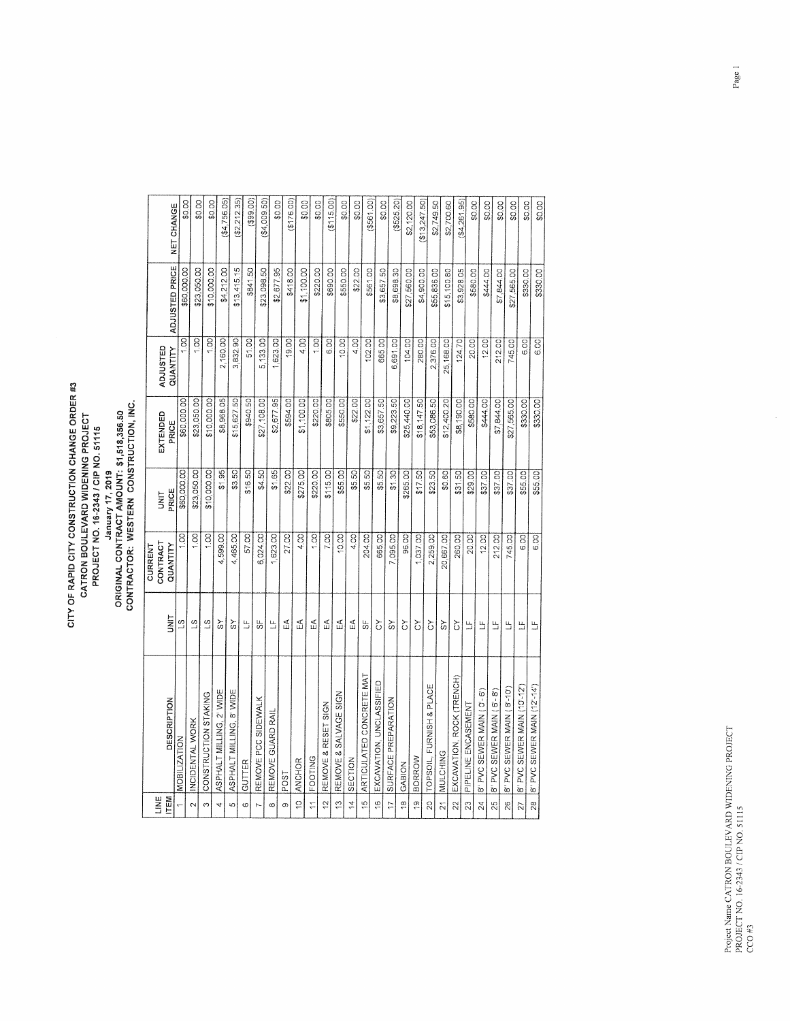## CITY OF RAPID CITY CONSTRUCTION CHANGE ORDER #3<br>CATRON BOULEVARD WIDENING PROJECT<br>PROJECT NO. 16-2343 / CIP NO. 51115<br>ORIGINAL CONTRACT AMOUNT: \$1,518,356.50<br>CONTRACTOR: WESTERN CONSTRUCTION, INC.

| Lik∐                           |                             |                            | CONTRACT<br>CURRENT | UNIT        | EXTENDED    | ADJUSTED          |                |                   |
|--------------------------------|-----------------------------|----------------------------|---------------------|-------------|-------------|-------------------|----------------|-------------------|
| ITEM                           | DESCRIPTION                 | İ                          | QUANTITY            | PRICE       | PRICE       | QUANTITY          | ADJUSTED PRICE | <b>NET CHANGE</b> |
|                                | <b>MOBILIZATION</b>         | S                          | $\overline{5}$      | \$60,000.00 | \$60,000.00 | $\overline{1.00}$ | \$60,000.00    | \$0.00            |
| $\sim$                         | INCIDENTAL WORK             | $\overline{3}$             | 1.00                | \$23,050.00 | \$23,050.00 | $rac{1}{2}$       | \$23,050.00    | \$0.00            |
| S                              | CONSTRUCTION STAKING        | $\overline{3}$             | $\frac{1}{2}$       | \$10,000.00 | \$10,000.00 | 1.00              | \$10,000.00    | \$0.00            |
| 4                              | ASPHALT MILLING, 2' WIDE    | $\mathcal{S}^{\mathsf{V}}$ | 4,599.00            | \$1.95      | \$8,968.05  | 2,160.00          | \$4,212.00     | (34, 756.05)      |
| ίŋ                             | ASPHALT MILLING, 8' WIDE    | SΥ                         | 4,465.00            | \$3.50      | \$15,627.50 | 3,832.90          | \$13,415.15    | (\$2,212.35)      |
| $\omega$                       | GUTTER                      | Ľ                          | 57.00               | \$16.50     | \$940.50    | 51.00             | \$841.50       | (399.00)          |
| $\sim$                         | REMOVE PCC SIDEWALK         | 55                         | 6,024.00            | \$4.50      | \$27,108.00 | 5,133.00          | \$23,098.50    | (\$4,009.50)      |
| $\infty$                       | REMOVE GUARD RAIL           | $\frac{\mu}{\mu}$          | 1,623.00            | \$1.65      | \$2,677.95  | ,623.00           | \$2,677.95     | \$0.00            |
| o,                             | POST                        | $\widetilde{\mathbb{E}}$   | 27.00               | \$22.00     | \$594.00    | 19.00             | \$418.00       | (176.00)          |
| ă                              | ANCHOR                      | Ę                          | 4.00                | \$275.00    | \$1,100.00  | 4.00              | \$1,100.00     | \$0.00            |
| $\frac{1}{1}$                  | <b>FOOTING</b>              | Ę                          | $rac{1}{2}$         | \$220.00    | \$220.00    | $\overline{1.00}$ | \$220.00       | \$0.00            |
| $\frac{1}{2}$                  | REMOVE & RESET SIGN         | E                          | 7.00                | \$115.00    | \$805.00    | 6.00              | \$690.00       | (5115.00)         |
| ë                              | REMOVE & SALVAGE SIGN       | ₹                          | 10.00               | \$55.00     | \$550.00    | 10.00             | \$550.00       | \$0.00            |
| $\frac{1}{4}$                  | SECTION                     | £                          | 4.00                | \$5.50      | \$22.00     | 4.00              | \$22.00        | \$0.00            |
| $\frac{10}{11}$                | ARTICULATED CONCRETE MAT    | u,                         | 204.00              | \$5.50      | \$1,122.00  | 102.00            | \$561.00       | (5561,00)         |
| $\overset{\circ}{\rightarrow}$ | EXCAVATION, UNCLASSIFIED    | Š                          | 665.00              | \$5.50      | \$3,657.50  | 665.00            | \$3,657.50     | \$0.00            |
| $\overline{17}$                | SURFACE PREPARATION         | $\frac{8}{3}$              | 7,095.00            | \$1.30      | \$9,223.50  | 6,691.00          | \$8,698.30     | $($ \$525.20)     |
| $\frac{\infty}{\infty}$        | GABION                      | δ                          | 96.00               | \$265.00    | \$25,440.00 | 104.00            | \$27,560.00    | \$2,120.00        |
| ë                              | BORROW                      | č                          | 1,037.00            | \$17.50     | \$18,147.50 | 280.00            | \$4,900.00     | \$13,247.50       |
| $\overline{20}$                | TOPSOIL, FURNISH & PLACE    | δ                          | 2,259.00            | \$23.50     | \$53,086.50 | 2,376.00          | \$55,836.00    | \$2,749.50        |
| $\overline{21}$                | MULCHING                    | $\aleph$                   | 20,667.00           | \$0.60      | \$12,400.20 | 25,168.00         | \$15,100.80    | \$2,700.60        |
| 22                             | EXCAVATION, ROCK (TRENCH)   | δ                          | 260.00              | \$31.50     | \$8,190.00  | 124.70            | \$3,928.05     | (34, 261, 95)     |
| 23                             | PIPELINE ENCASEMENT         | $\frac{11}{2}$             | 20.00               | \$29.00     | \$580.00    | 20.00             | \$580.00       | \$0.00            |
| 24                             | 8" PVC SEWER MAIN (0'-6')   | $\mathbf{u}$               | 12.00               | \$37.00     | \$444.00    | 12.00             | \$444.00       | \$0.00            |
| 25                             | 8" PVC SEWER MAIN (6'-8')   | $\mathbf{u}_1$             | 212.00              | \$37.00     | \$7,844.00  | 212.00            | \$7,844.00     | \$0.00            |
| $\overline{26}$                | 8" PVC SEWER MAIN (8'-10")  | Щ                          | 745.00              | \$37.00     | \$27,565.00 | 745.00            | \$27,565.00    | \$0.00            |
| 27                             | 8" PVC SEWER MAIN (10'-12') | 띀                          | 6.00                | \$55.00     | \$330.00    | 6.00              | \$330.00       | \$0.00            |
| $\frac{8}{28}$                 | 8" PVC SEWER MAIN (12'-14') | Ľ                          | $\overline{6.80}$   | \$55.00     | \$330.00    | 6.00              | \$330.00       | \$0.00            |

 $\hat{\mathcal{A}}$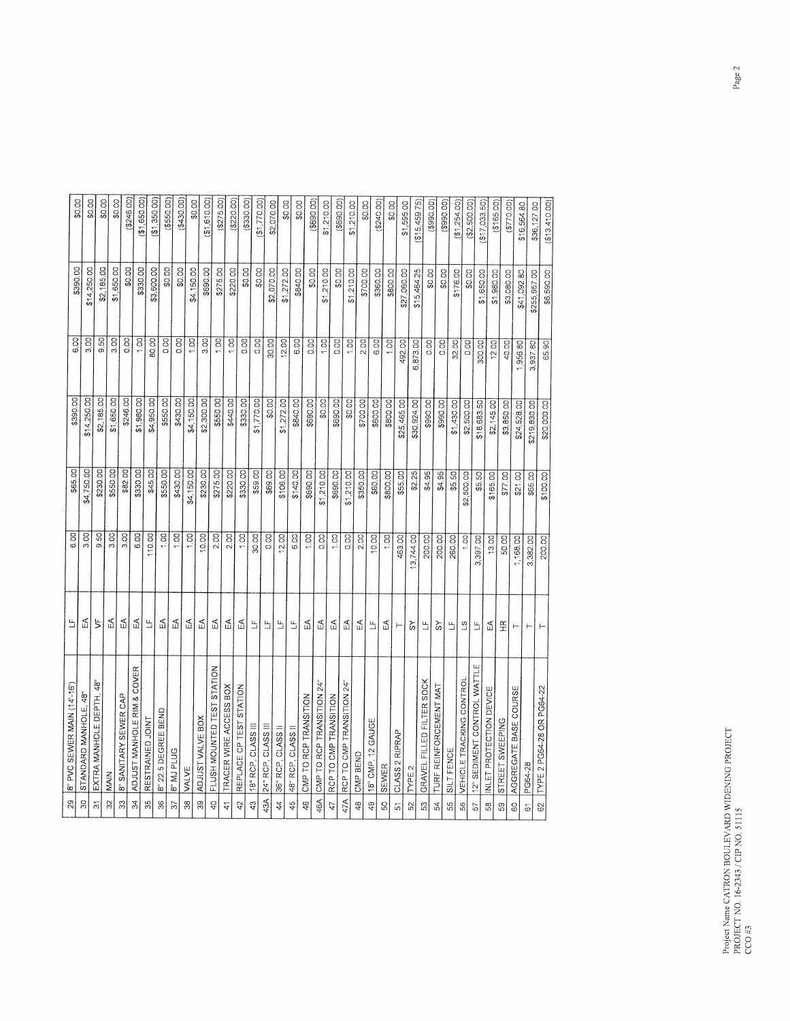| Щ<br>8" PVC SEVVER MAIN (14'-16')                               | 6.00              | \$65.00    | \$390.00     | 6.00              | \$390.00     | \$0.00         |
|-----------------------------------------------------------------|-------------------|------------|--------------|-------------------|--------------|----------------|
| Æ                                                               | $\overline{3.00}$ | \$4,750.00 | \$14,250.00  | 3.00              | \$14,250.00  | \$0.00         |
| $\uparrow$<br>å<br>48                                           | $\overline{S}$    | \$230.00   | \$2,185.00   | 9.50              | \$2,185.00   | \$0.00         |
| R                                                               | $\overline{8}$    | \$550.00   | \$1,650.00   | 3.00              | \$1,650.00   | \$0.00         |
| EÁ                                                              | $\overline{3.00}$ | \$82.00    | \$246.00     | 0.00              | \$0.00       | (246.00)       |
| $\mathbb{E}$<br>ADJUST MANHOLE RIM & COVER                      | 6.00              | \$330.00   | \$1,980.00   | 1,00              | \$330.00     | (\$1,650.00)   |
| Ь                                                               | 110.00            | \$45.00    | \$4,950.00   | 80.00             | \$3,600.00   | (20.050, 125)  |
| E                                                               | $rac{1}{2}$       | \$550.00   | \$550.00     | 0.00              | \$0.00       | (3550.00)      |
| $\mathbb{P}$                                                    | $rac{1}{2}$       | \$430.00   | \$430.00     | $\overline{5}$    | \$0.00       | (\$430.00)     |
| $\mathbb{E}$                                                    | $rac{1}{2}$       | \$4,150.00 | \$4,150.00   | 1,00              | \$4,150.00   | \$0.00         |
| E                                                               | 10.00             | \$230.00   | \$2,300.00   | 3.00              | \$690.00     | (20.01, 51)    |
| E<br>FLUSH MOUNTED TEST STATION                                 | 2.00              | \$275.00   | \$550.00     | $\overline{100}$  | \$275.00     | (275.00)       |
| $\mathbb S$<br>TRACER WIRE ACCESS BOX                           | 2.00              | \$220.00   | \$440.00     | $\overline{1.00}$ | \$220.00     | (\$220.00]     |
| $\mathbb{E}$<br>REPLACE CP TEST STATION                         | $\frac{1}{2}$     | \$330.00   | \$330.00     | $\overline{5}$    | \$0.00       | (3330.00)      |
| 30.00<br>$\frac{\mu}{\mu}$                                      |                   | \$59.00    | \$1,770.00   | 0.00              | \$0.00       | \$1,770.00     |
| $\frac{\mu}{\omega}$                                            | $\overline{0.00}$ | \$69.00    | 60.00        | 30.00             | \$2,070.00   | \$2,070.00     |
| 12.00<br>$\frac{\mu_{\nu}}{\mu}$                                |                   | \$106.00   | \$1,272.00   | 12.00             | \$1,272.00   | \$0.00         |
| 6.00<br>Ľ,                                                      |                   | \$140.00   | \$840.00     | 6.00              | \$840.00     | \$0.00         |
| $\mathbb{P}$                                                    | $rac{1}{2}$       | \$690.00   | \$690.00     | co.co             | \$0.00       | $($ \$690.00)  |
| $\mathbb S$<br>CMP TO RCP TRANSITION 24"                        | $rac{1}{2}$       | \$1,210.00 | $rac{1}{2}$  | 1.00              | \$1,210.00   | \$1,210.00     |
| $\widetilde{\mathbb{P}}$                                        | $rac{1}{2}$       | \$690.00   | \$690.00     | 0.00              | \$0.00       | $($ \$690.00   |
| 및<br>RCP TO CMP TRANSITION 24"                                  | $\overline{0.00}$ | \$1,210.00 | \$0.00       | 1.00              | \$1,210.00   | \$1,210.00     |
| FZ                                                              | 2.00              | \$350.00   | \$700.00]    | 2.00              | \$700.00     | \$0.00         |
| Щ                                                               | 10,00             | \$60.00    | \$600.00     | 6.00              | \$360.00     | (2240.00)      |
| 띶                                                               | $rac{1}{2}$       | \$800.00   | \$800.00     | $\overline{5}$    | \$800.00     | \$0.00         |
| 463.00<br>$\vdash$                                              |                   | \$55.00    | \$25,465.00  | 492.00            | \$27,060.00  | \$1,595.00     |
| 3,744.00<br>$\Im$                                               |                   | \$2.25     | \$30,924.00  | 6,873.00          | \$15,464.25  | \$15,459.75)   |
| 200.00<br>$\frac{\mu}{\mu}$<br>GRAVEL FILLED FILTER SOCK        |                   | \$4.95     | \$990.00     | $\overline{0.00}$ | \$0.00       | (3990,00)      |
| 200.00<br>$\aleph$<br>TURF REINFORCEMENT MAT                    |                   | \$4.95     | \$990.00     | $\overline{0}$    | \$0.00       | (300.098)      |
| 260.00<br>马                                                     |                   | \$5.50     | \$1,430.00   | 32.00             | \$176.00     | (S1, 254.00)   |
| $\frac{1}{2}$<br>$\overline{3}$<br>VEHICLE TRACKING CONTROL     |                   | \$2,500.00 | \$2,500.00   | $\overline{5}$    | \$0.00       | (\$2,500.00)   |
| 3,397.00<br>$\frac{\mu}{\omega}$<br>12" SEDIMENT CONTROL WATTLE |                   | \$5.50     | \$18,683.50  | 300.00            | \$1,650.00   | ( \$17,033.50) |
| 13.00<br>$\mathbbm{R}$                                          |                   | \$165.00   | \$2,145.00   | 12.00             | \$1,980.00   | ( \$165.00]    |
| 50.00<br>$\widetilde{\pm}$                                      |                   | \$77.00    | \$3,850.00   | 40.00             | \$3,080.00   | (5770.00)      |
| 1,168.00<br>$\vdash$<br>AGGREGATE BASE COURSE                   |                   | \$21.00    | \$24,528.00  | 956.80            | \$41,092.80  | \$16,564.80    |
| 3,382.00<br>$\vdash$                                            |                   | \$65.00    | \$219,830.00 | 3,937.80          | \$255,957.00 | \$36,127.00    |
| $\vdash$                                                        | 200.00            | \$100.00   | \$20,000.00  | 65.90             | \$6,590.00   | (\$13,410.00)  |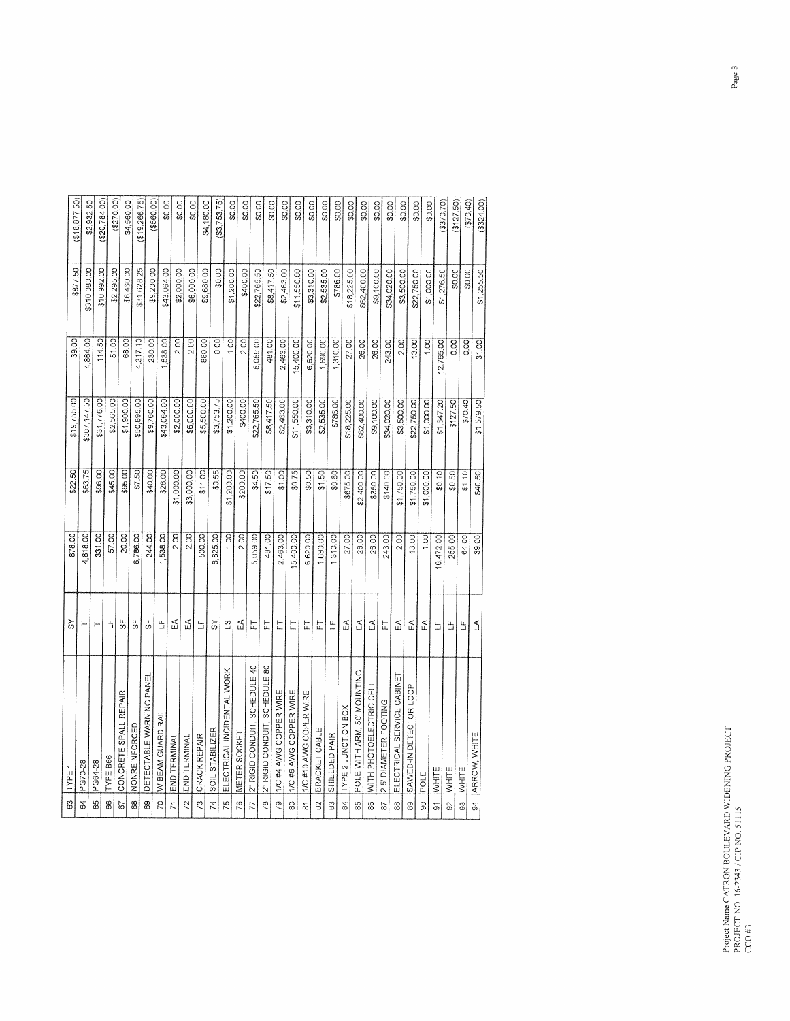| 3                   | TYPE.                         | ૅ                        | 878.00            | \$22.50    | \$19,755.00  | 39.00          |                          |                            |
|---------------------|-------------------------------|--------------------------|-------------------|------------|--------------|----------------|--------------------------|----------------------------|
| $\mathfrak{F}$      | PG70-28                       | $\vdash$                 | 4,818.00          | \$63.75    | \$307,147.50 | 4,864.00       | \$877.50<br>\$310,080.00 | ( \$18, 877, 50)           |
| 65                  | PG64-28                       | ۳                        | 331.00            | \$96.00    | \$31,776.00  | 114.50         | \$10,992.00              | \$20,784.00)<br>\$2,932.50 |
| 66                  | <b>TYPE B66</b>               | Е                        | 57.00             | \$45.00    | \$2,565.00   | 51,00          | \$2,295.00               | (270.00)                   |
| 67                  | CONCRETE SPALL REPAIR         | 55                       | 20.00             | \$95.00    | \$1,900.00   | 68.00          | \$6,460.00               | \$4,560.00                 |
| 68                  | <b>NONREINFORCED</b>          | 55                       | 6,786.00          | \$7.50     | \$50,895.00  | 4,217.10       | \$31,628.25              | (319,266.75)               |
| 89                  | DETECTABLE WARNING PANEI      | 55                       | 244.00            | \$40.00    | \$9,760.00   | 230.00         | \$9,200.00               | (5560.00)                  |
| SZ.                 | W BEAM GUARD RAIL             | Е                        | 538.00            | \$28.00    | \$43,064.00  | 538.00         | \$43,064.00              | \$0.00                     |
| $\overline{7}$      | END TERMINAL                  | EÃ                       | 2.00              | \$1,000.00 | \$2,000.00   | 2.00           | \$2,000.00               | \$0.00                     |
| 72                  | END TERMINAL                  | F                        | 2.00              | \$3,000.00 | \$6,000.00   | 2.00           | \$6,000.00               | \$0.00                     |
| $\overline{73}$     | CRACK REPAIR                  | $\frac{u}{d}$            | 500.00            | \$11.00    | \$5,500.00   | 880.00         | \$9,680.00               | \$4,180.00                 |
| 74                  | SOIL STABILIZER               | $\aleph$                 | 6,825.00          | \$0.55     | \$3,753.75   | $\overline{5}$ | \$0.00                   | (\$3,753.75)               |
| 75                  | ELECTRICAL INCIDENTAL WORK    | $\overline{3}$           | $\overline{5}$    | \$1,200.00 | \$1,200.00   | $\frac{1}{2}$  | \$1,200.00               | \$0.00                     |
| 76                  | METER SOCKET                  | EÁ                       | 2.00              | \$200.00   | \$400.00     | 2.00           | \$400.00                 | \$0.00                     |
| 77                  | 2" RIGID CONDUIT, SCHEDULE 40 | Ę                        | 5,059.00          | \$4.50     | \$22,765.50  | 5,059.00       | \$22,765.50              | \$0.00                     |
| $\frac{8}{2}$       | 2" RIGID CONDUIT, SCHEDULE 80 | 岀                        | 481.00            | \$17.50    | \$8,417.50   | 481.00         | \$8,417.50               | \$0.00                     |
| ρS                  | 1/C #4 AWG COPPER WIRE        | 뉸                        | 2,463.00          | 51.00      | \$2,463.00   | 2,463.00       | \$2,463.00               | \$0.00                     |
| 80                  | 1/C #6 AWG COPPER WIRE        | 匸                        | 15,400.00         | \$0.75     | \$11,550.00  | 15,400.00      | \$11,550.00              | \$0.00                     |
| $\overline{\infty}$ | 1/C #10 AWG COPER WIRE        | に                        | 6,620.00          | \$0.50     | \$3,310.00   | 6,620.00       | \$3,310.00               | \$0.00                     |
| 2                   | BRACKET CABLE                 | 匠                        | 1,690.00          | \$1.50     | \$2,535.00   | 1,690.00       | \$2,535.00               | \$0.00                     |
| 83                  | SHIELDED PAIR                 | Щ                        | 1,310.00          | \$0.60     | \$786.00     | 1,310.00       | \$786.00                 | \$0.00                     |
| 84                  | TYPE 2 JUNCTION BOX           | 띶                        | 27.00             | \$675.00   | \$18,225.00  | 27.00          | \$18,225.00              | \$0.00                     |
| 85                  | POLE WITH ARM, 50' MOUNTING   | £                        | 26.00             | \$2,400.00 | \$62,400.00  | 26.00          | \$62,400.00              | \$0.00                     |
| 88                  | WITH PHOTOELECTRIC CEL        | $\mathbb S$              | 26.00             | \$350.00   | \$9,100.00   | 26.00          | \$9,100.00               | \$0.00                     |
| ଚ                   | 2.5' DIAMETER FOOTING         | 뉸                        | 243.00            | \$140.00   | \$34,020.00  | 243.00         | \$34,020.00              | \$0.00                     |
| 88                  | ELECTRICAL SERVICE CABINET    | Ę                        | 2.00              | \$1,750.00 | \$3,500.00   | 2.00           | \$3,500.00               | \$0.00                     |
| 89                  | SAWED-IN DETECTOR LOOP        | $\widetilde{\mathbb{E}}$ | 13.00             | \$1,750.00 | \$22,750.00  | 13.00          | \$22,750.00              | \$0.00                     |
| $\mathbf{S}$        | POLE                          | 巴                        | $\overline{1.00}$ | \$1,000.00 | \$1,000.00   | 1.00           | \$1,000.00               | \$0.00                     |
| $\overline{\delta}$ | WHITE                         | $\mathbf{L}$             | 16,472.00         | \$0.10     | \$1,647.20   | 12,765.00      | \$1,276.50               | (\$370.70)                 |
| $\overline{9}$      | <b>WHITE</b>                  | $\mathfrak{u}_1$         | 255.00            | \$0.50     | \$127.50     | 0.00           | \$0.00                   | (5127.50)                  |
| 3                   | WHITE                         | Щ                        | 64.00             | \$1.10     | \$70.40      | 0.00           | \$0.00                   | (\$70.40)                  |
| $\frac{4}{5}$       | ARROW, WHITE                  | F                        | 39.00             | \$40.50    | \$1,579.50   | 31.00          | \$1,255.50               | \$324.00)                  |
|                     |                               |                          |                   |            |              |                |                          |                            |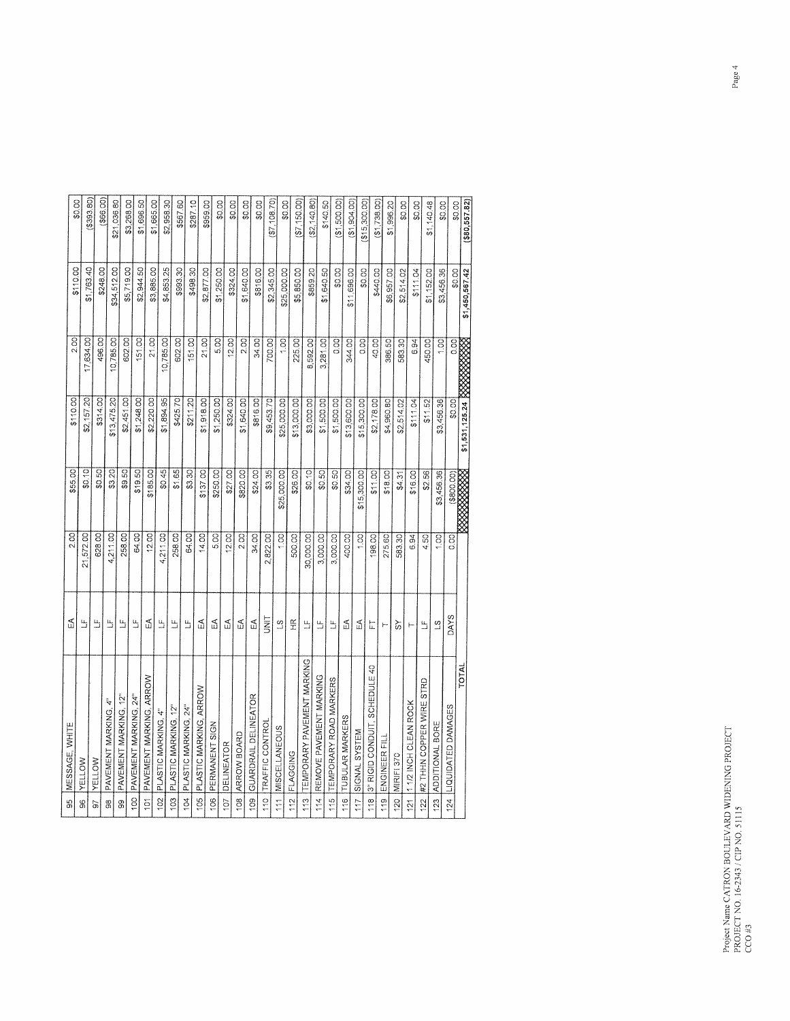| (580, 557.82)    | \$1,450,567.42       | \$1,531,125.24 XXXXXXXX |                      |             |                   |                                                                        | TOTAL                          |
|------------------|----------------------|-------------------------|----------------------|-------------|-------------------|------------------------------------------------------------------------|--------------------------------|
| \$0.00<br>\$0.00 | \$3,456.36<br>\$0.00 | $\overline{c}$<br>1.00  | \$3,456.36<br>\$0.00 | \$3,456.36  | 0.00              | <b>DAYS</b>                                                            | 124   LIQUIDATED DAMAGES       |
| \$1,140.48       | \$1,152.00           | 450.00                  |                      |             | 1,00              | $\overline{3}$                                                         | 123 ADDITIONAL BORE            |
| \$0.00           | \$111.04             |                         | \$11.52              | \$2.56      | 4.50              | $\mathbf{u}$                                                           | 122 #2 THHN COPPER WIRE STRD   |
|                  |                      | 6.94                    | \$11.04              | \$16.00     | 6.94              | ۳                                                                      | 112 INCH CLEAN ROCK            |
| \$0.00           | \$2,514.02           | 583.30                  | \$2,514.02           | \$4.31      | 583,30            | ŠΥ                                                                     | MIRIFI 370                     |
| \$1,996.20       | \$6,957.00           | 386.50                  | \$4,960.80           | \$18.00     | 275.60            | <b>}-</b>                                                              | 119 ENGINEER FIL               |
| ( \$1,738.00]    | \$440.00             | 40.00                   | \$2,178.00           | \$11.00     | 198.00            | 击                                                                      | 3" RIGID CONDUIT, SCHEDULE 40  |
| (20.00, 00, 00)  | \$0.00               | 0.00                    | \$15,300.00          | \$15,300.00 | 1.00              | F                                                                      | SIGNAL SYSTEM                  |
| (31, 904, 00)    | \$11,696.00          | 344.00                  | \$13,600.00          | \$34.00     | 400.00            | $\mathbb{Z}$                                                           | TUBULAR MARKERS                |
| (1,500.00)       | \$0.00               | $rac{1}{2}$             | \$1,500.00           | \$0.50      | 3,000.00          | $\mathbf{u}_1$                                                         | TEMPORARY ROAD MARKERS         |
| \$140.50         | \$1,640.50           | 3,281.00                | \$1,500.00           | \$0.50      | 3,000.00          | $\frac{\mu}{2}$                                                        | REMOVE PAVEMENT MARKING        |
| (\$2, 140.80)    | \$859.20             | 8,592.00                | \$3,000.00           | \$0.10      | 30,000.00         | 띀                                                                      | 113 TEMPORARY PAVEMENT MARKING |
| \$7,150.00       | \$5,850.00           | 225.00                  | \$13,000.00          | \$26.00     | 500.00            | $\frac{\alpha}{\pm}$                                                   | FLAGGING                       |
| \$0.00           | \$25,000.00          | $rac{1}{2}$             | \$25,000.00          | \$25,000.00 | $rac{1}{2}$       | $\tilde{\mathbf{S}}$                                                   | 111 MISCELLANEOUS              |
| (S7, 108.70)     | \$2,345.00           | 700.00                  | \$9,453.70           | \$3.35      | 822.00            | <b>TIKU</b>                                                            | TRAFFIC CONTROI                |
| \$0.00           | \$816.00             | 34.00                   | \$816.00             | \$24.00     | 34.00             | 5                                                                      | GUARDRAIL DELINEATOR           |
| \$0.00           | \$1,640.00           | 2.00                    | \$1,640.00           | \$820.00    | 2.00              | Ę                                                                      | 108 ARROW BOARD                |
| \$0.00           | \$324.00             | 12.00                   | \$324.00             | \$27.00     | 12.00             | E                                                                      | DELINEATOR                     |
| \$0.00           | \$1,250.00           | 5.00                    | \$1,250.00           | \$250.00    | $\overline{5.00}$ | E                                                                      | PERMANENT SIGN                 |
| \$959.00         | \$2,877.00           | 21.00                   | \$1,918.00           | \$137.00    | 14.00             | 및                                                                      | PLASTIC MARKING, ARROW         |
| \$287.10         | \$498.30             | 151.00                  | \$211.20             | \$3.30      | 64.00             | $\frac{\mu}{\mu}$                                                      | PLASTIC MARKING, 24"           |
| \$567.60         | \$993.30             | 602.00                  | \$425.70             | \$1.65      | 258.00            | Е                                                                      | 103 PLASTIC MARKING, 12"       |
| \$2,958.30       | \$4,853.25           | 10,785.00               | \$1,894.95           | \$0.45      | 4,211.00          | $\mathbf{L}$                                                           | PLASTIC MARKING, 4"            |
| \$1,665.00       | \$3,885.00           | 21.00                   | \$2,220.00           | \$185.00    | 12.00             | $\mathbb S$                                                            | PAVEMENT MARKING, ARROW        |
| \$1,696.50       | \$2,944.50           | 151.00                  | \$1,248.00           | \$19.50     | 64.00             | $\frac{\mu}{\omega}$                                                   | 100 PAVEMENT MARKING, 24"      |
| \$3,268.00       | \$5,719.00           | 602.00                  | \$2,451.00           | \$9.50      | 258.00            | $\mathfrak{m}$                                                         | PAVEMENT MARKING, 12"          |
| \$21,036.80      | \$34,512.00          | 10,785.00               | \$13,475.20          | \$3.20      | 4,211.00          | Ь                                                                      | PAVEMENT MARKING, 4"           |
| (366.00)         | \$248.00             | 496.00                  | \$314.00             | \$0.50      | 628.00            | $\frac{\mu}{\omega}$                                                   | <b>VELLOW</b>                  |
| (\$393.80)       | \$1,763.40           | 17,634.00               | \$2,157.20           | \$0,10]     | 21,572.00         | $\mathrel{\mathop{\sqcup}\limits_{\scriptscriptstyle\longrightarrow}}$ | YELLOW                         |
| \$0.00           | \$110.00             | 2.00                    | \$110.00             | \$55.00     | 2.00              | 및                                                                      | MESSAGE, WHITE                 |
|                  |                      |                         |                      |             |                   |                                                                        |                                |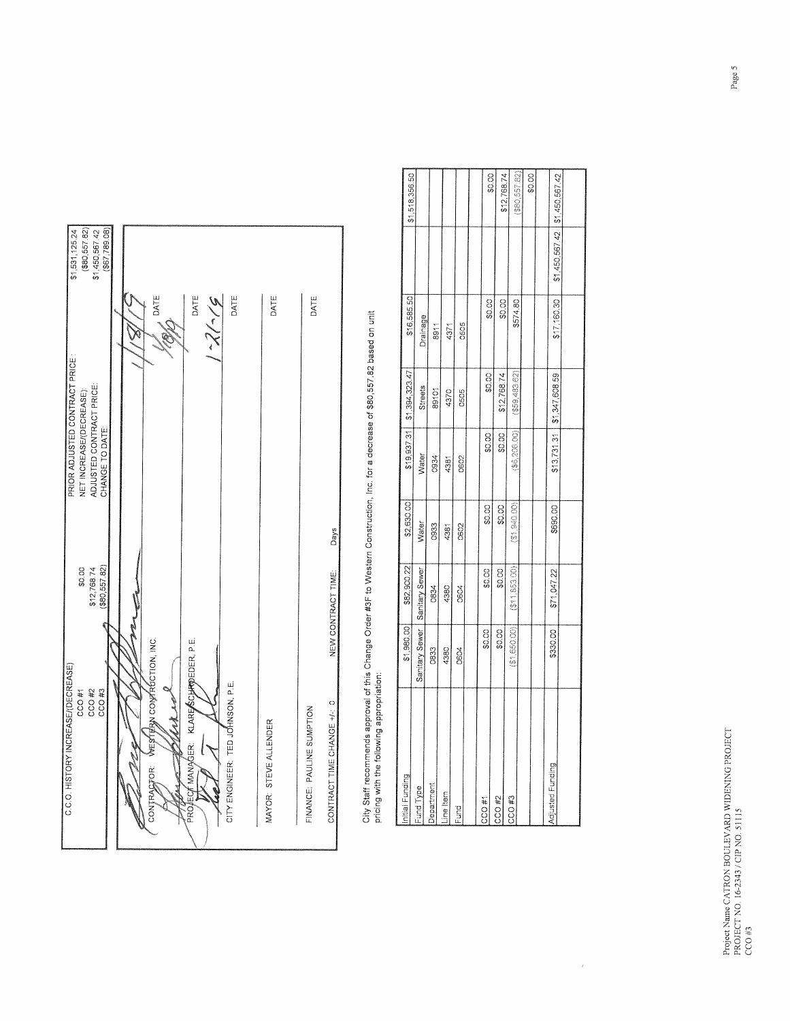| C.C.O. HISTORY INCREASE/(DECREASE)       |                    | PRIOR ADJUSTED CONTRACT PRICE | \$1,531,125.24   |
|------------------------------------------|--------------------|-------------------------------|------------------|
| CCO#1                                    | \$0.00             | NET INCREASE/(DECREASE):      | $($ \$80,557.82) |
| CCO#2                                    | \$12,768.74        | ADJUSTED CONTRACT PRICE:      | \$1,450,567.42   |
| CCO#3                                    | $($ \$80,557.82)   | CHANGE TO DATE:               | $($ \$67,789.08) |
|                                          |                    |                               |                  |
|                                          | N                  |                               |                  |
| WESTERN CONTRUCTION, INC.<br>CONTRAGTOR: |                    | DATE                          |                  |
|                                          |                    |                               |                  |
|                                          |                    |                               |                  |
| PROJEC/TMANAGER: KLAREASCHANDEDER, P.E.  |                    | DATE                          |                  |
|                                          |                    | اسم (سارىخ                    |                  |
| CITY ENGINEER: TED JOHNSON, P.E.         |                    |                               |                  |
|                                          |                    | DATE                          |                  |
| MAYOR: STEVE ALLENDER                    |                    | DATE                          |                  |
|                                          |                    |                               |                  |
| FINANCE: PAULINE SUMPTION                |                    | DATE                          |                  |
| CONTRACT TIME CHANGE +/-: 0              | NEW CONTRACT TIME: | Days                          |                  |
|                                          |                    |                               |                  |

City Staff recommends approval of this Change Order #3F to Western Construction, Inc. for a decrease of \$80,557.82 based on unit<br>pricing with the following appropriation:

| Initial Funding   | \$1,980.00     | \$82,900.22      | \$2,630.00  | \$19,937.31   | \$1,394,323.47   | \$16,585.50 |                                 | \$1,518,356.50 |
|-------------------|----------------|------------------|-------------|---------------|------------------|-------------|---------------------------------|----------------|
| Fund Type         | Sanitary Sewer | Sanitary Sewer   | Water       | <b>Nater</b>  | <b>Streets</b>   | Drainage    |                                 |                |
| Department        | 0833           | 0834             | 0933        | 0934          | 89101            | 8911        |                                 |                |
| Line Item         | 4380           | 4380             | 4381        | 438           | 4370             | 4371        |                                 |                |
| Fund              | 0604           | 0604             | 0602        | 0602          | 0505             | 0505        |                                 |                |
|                   |                |                  |             |               |                  |             |                                 |                |
| CCO#1             | \$0.00         | \$0.00           | \$0.00      | ဓိပ္ပံ        | \$0.00           | \$0.00      |                                 | \$0.00         |
| CCO <sub>#2</sub> | \$0.00         | \$0.00           | \$0.00      | \$0.00        | \$12,768.74      | \$0.00      |                                 |                |
| CCO <sub>#3</sub> | (31,650,00)    | ( \$11, 853, 00) | (31.940.00) | (\$6, 206.00) |                  |             |                                 | \$12,768.74    |
|                   |                |                  |             |               | $($ \$59,483.62) | \$574.80    |                                 | (\$80,557.82)  |
|                   |                |                  |             |               |                  |             |                                 | \$0.00         |
|                   |                |                  |             |               |                  |             |                                 |                |
| Adjusted Funding  | \$330.00       | \$71,047.22      | \$690.00    | \$13,731.31   | \$1,347,608.59   | \$17,160.30 | \$1,450,567.42   \$1,450,567.42 |                |
|                   |                |                  |             |               |                  |             |                                 |                |
|                   |                |                  |             |               |                  |             |                                 |                |

 $\hat{b}$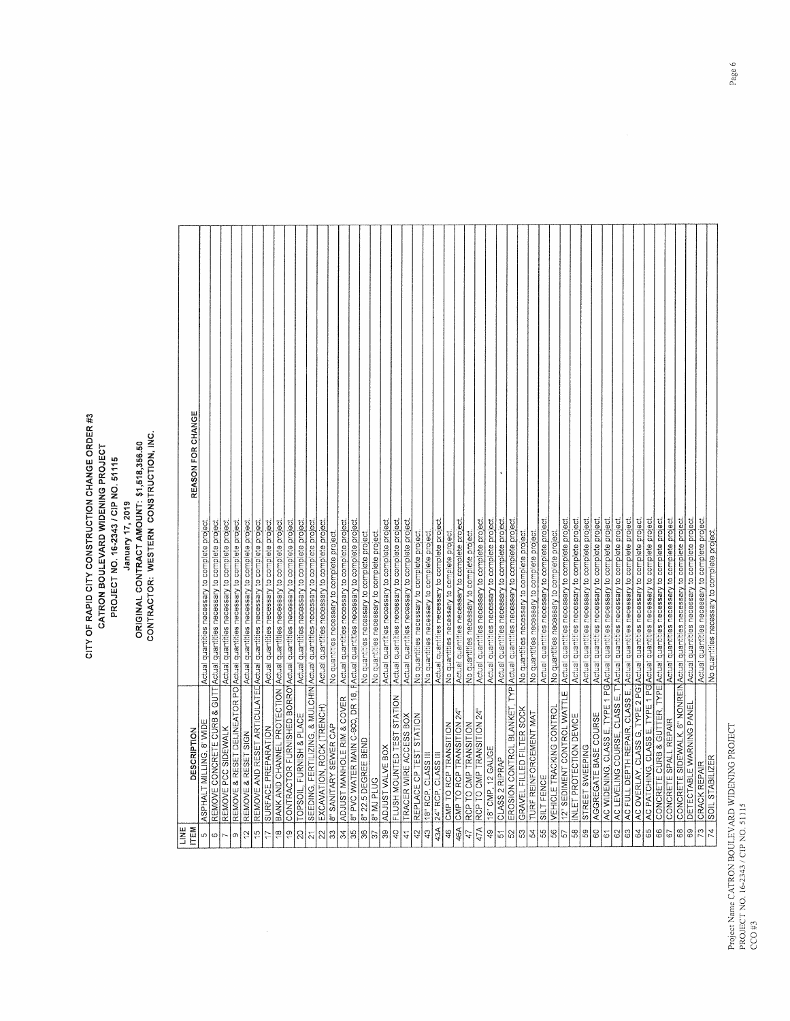## Project Name CATRON BOULEV ARD WIDENING PROJECT<br>PROJECT NO. 16-2343 / CIP NO. 51115<br>CCO #3

## CITY OF RAPID CITY CONSTRUCTION CHANGE ORDER #3 ORIGINAL CONTRACT AMOUNT: \$1,518,356.50<br>CONTRACTOR: WESTERN CONSTRUCTION, INC. CATRON BOULEVARD WIDENING PROJECT<br>PROJECT NO. 16-2343 / CIP NO. 51115 January 17, 2019

 $\sqrt{ }$ 

| li<br>S                            |                                 |                                                                                             |
|------------------------------------|---------------------------------|---------------------------------------------------------------------------------------------|
| <b>ITEM</b>                        | DESCRIPTION                     | REASON FOR CHANGE                                                                           |
| ച∣ര∣പ                              | ASPHALT MILLING, 8' WIDE        | Actual quantities necessary to complete project                                             |
|                                    |                                 | REMOVE CONCRETE CURB & GUTT Actual quantities necessary to complete project.                |
|                                    | REMOVE PCC SIDEWALK             | Actual quantities necessary to complete project                                             |
| ത                                  |                                 | REMOVE & RESET DELINEATOR PO Actual quantities necessary to complete project.               |
| $\tilde{c}$                        | REMOVE & RESET SIGN             | Actual quantities necessary to complete project.                                            |
| $\frac{6}{10}$                     |                                 | REMOVE AND RESET ARTICULATEDActual quantities necessary to complete project                 |
| 17                                 | SURFACE PREPARATION             | Actual quantities necessary to complete project.                                            |
| $\frac{8}{1}$                      |                                 | BANK AND CHANNEL PROTECTION Actual quantities necessary to complete project.                |
| $\frac{0}{1}$                      |                                 | CONTRACTOR FURNISHED BORRO Actual quantities necessary to complete project                  |
| $\overline{c}$                     | TOPSOIL, FURNISH & PLACE        | Actual quantities necessary to complete project.                                            |
| $\widetilde{\sim}$                 |                                 | SEEDING, FERTILIZING, & MULCHIN Actual quantities necessary to complete project             |
| 22                                 | EXCAVATION, ROCK (TRENCH)       | Actual quantities necessary to complete project.                                            |
| အ                                  | 8" SANITARY SEWER CAP           | No quantities necessary to complete project.                                                |
| $\approx$                          | ADJUST MANHOLE RIM & COVER      | Actual quantities necessary to complete project                                             |
| 35                                 | 8" PVC WATER MAIN C-900, DR 18, | RActual quantities necessary to complete project.                                           |
| $\mathbb{S}^{\mathbb{C}}$          | 8" 22.5 DEGREE BEND             | No quantities necessary to complete project.                                                |
| $\frac{2}{3}$                      | <b>B. M1 PLUC</b>               | No quantities necessary to complete project.                                                |
| $\frac{9}{2}$                      | ADJUST VALVE BOX                | Actual quantities necessary to complete project                                             |
| $\mathcal{L}^{\mathcal{D}}$        | FLUSH MOUNTED TEST STATION      | Actual quantities necessary to complete project.                                            |
| $\mathcal{L}$                      | TRACER WIRE ACCESS BOX          | Actual quantities necessary to complete project                                             |
| $\mathfrak{c}_2$                   | REPLACE CP TEST STATION         | No quantities necessary to complete project.                                                |
| $\frac{3}{4}$                      | 18" RCP, CLASS III              | No quantities necessary to complete project                                                 |
| 43A                                | 24" RCP, CLASS III              | Actual quantities necessary to complete project                                             |
| $\frac{46}{5}$                     | CMP TO RCP TRANSITION           | No quantities necessary to complete project                                                 |
| 46A                                | CMP TO RCP TRANSITION 24"       | Actual quantities necessary to complete project                                             |
| 47                                 | RCP TO CMP TRANSITION           | No quantities necessary to complete project.                                                |
| 47A                                | RCP TO CMP TRANSITION 24"       | Actual quantities necessary to complete project.                                            |
| $\overline{6}$                     | 18" CMP, 12 GAUGE               | Actual quantities necessary to complete project.                                            |
|                                    | CLASS 2 RIPRAP                  | Actual quantities necessary to complete project.                                            |
|                                    |                                 | EROSION CONTROL BLANKET, TYP Actual quantities necessary to complete project                |
| 꼬  꼬  꼬  꼬  꼬  꼬  꼬  꼬  꼬  꼬  꼬  꼬 | GRAVEL FILLED FILTER SOCK       | No quantities necessary to complete project.                                                |
|                                    | TURF REINFORCEMENT MAT          | No quantities necessary to complete project                                                 |
|                                    | SILT FENCE                      | Actual quantities necessary to complete project                                             |
|                                    | VEHICLE TRACKING CONTROL        | No quantities necessary to complete project.                                                |
|                                    | 12" SEDIMENT CONTROL WATTLE     | Actual quantities necessary to complete project                                             |
|                                    | INLET PROTECTION DEVICE         | Actual quantities necessary to complete project                                             |
|                                    | STREET SWEEPING                 | Actual quantities necessary to complete project                                             |
|                                    | AGGREGATE BASE COURSE           | Actual quantities necessary to complete project                                             |
|                                    |                                 | AC WIDENING, CLASS E, TYPE 1 PG Actual quantities necessary to complete project             |
|                                    |                                 | AC LEVELING COURSE, CLASS E, T <sup>1</sup> Actual quantities necessary to complete project |
|                                    |                                 | AC FULL DEPTH REPAIR, CLASS E, Actual quantities necessary to complete project.             |
| $\frac{6}{8}$                      |                                 | AC OVERLAY, CLASS G, TYPE 2 PG1Actual quantities necessary to complete project              |
|                                    |                                 | AC PATCHING, CLASS E, TYPE 1 PO Actual quantities necessary to complete project             |
| ෂ                                  |                                 | CONCRETE CURB & GUTTER, TYPE Actual quantities necessary to complete project                |
| 19                                 | CONCRETE SPALL REPAIR           | Actual quantities necessary to complete project                                             |
| $\frac{8}{6}$                      |                                 | CONCRETE SIDEWALK, 6" NONREINActual quantities necessary to complete project                |
|                                    | DETECTABLE WARNING PANEL        | Actual quantities necessary to complete project                                             |
| ဥ                                  | CRACK REPAIR                    | Actual quantities necessary to complete project                                             |
|                                    | 74 SOIL STABILIZER              | No duantifies necessary to complate oroiect                                                 |

TERRITORIA ELEKTROLOGIA ELEKTROLOGIA ELEKTROLOGIA ELEKTROLOGIA ELEKTROLOGIA ELEKTROLOGIA

 $\Box$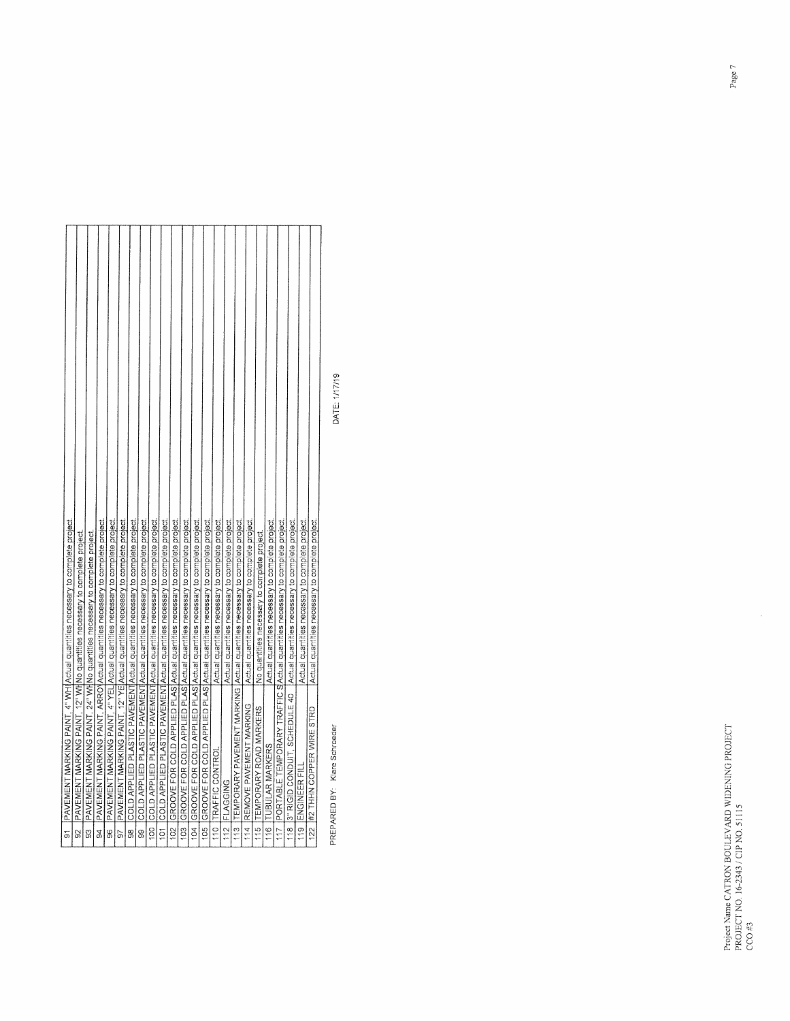|                                                                                   |                                                                            |                                                                            |                                                                               |                                                                                 |                                                                                 |                                                                                |                                                                                |                                                                                   |                                                                                    |                                                                                   |                                                                                   |                                                                                   |                                                                                   | Actual quantities necessary to complete project. | Actual quantities necessary to complete project |                                                                                 | Actual quantities necessary to complete project | No quantities necessary to complete project. | Actual quantities necessary to complete project. |                                                                                  |                                                                                  | Actual quantities necessary to complete project. | Actual quantities necessary to complete project. |
|-----------------------------------------------------------------------------------|----------------------------------------------------------------------------|----------------------------------------------------------------------------|-------------------------------------------------------------------------------|---------------------------------------------------------------------------------|---------------------------------------------------------------------------------|--------------------------------------------------------------------------------|--------------------------------------------------------------------------------|-----------------------------------------------------------------------------------|------------------------------------------------------------------------------------|-----------------------------------------------------------------------------------|-----------------------------------------------------------------------------------|-----------------------------------------------------------------------------------|-----------------------------------------------------------------------------------|--------------------------------------------------|-------------------------------------------------|---------------------------------------------------------------------------------|-------------------------------------------------|----------------------------------------------|--------------------------------------------------|----------------------------------------------------------------------------------|----------------------------------------------------------------------------------|--------------------------------------------------|--------------------------------------------------|
| 91 PAVEMENT MARKING PAINT, 4" WHIActual quantities necessary to complete project. | PAVEMENT MARKING PAINT, 12" WHNo quantities necessary to complete project. | PAVEMENT MARKING PAINT, 24" WHNo quantities necessary to complete project. | PAVEMENT MARKING PAINT, ARROVActual quantities necessary to complete project. | PAVEMENT MARKING PAINT, 4" YEL Actual quantities necessary to complete project. | PAVEMENT MARKING PAINT, 12" YE Actual quantities necessary to complete project. | COLD APPLIED PLASTIC PAVEMENT Actual quantities necessary to complete project. | COLD APPLIED PLASTIC PAVEMENT Actual quantities necessary to complete project. | 100 COLD APPLIED PLASTIC PAVEMENTActual quantities necessary to complete project. | 101 COLD APPLIED PLASTIC PAVEMENT Actual quantities necessary to complete project. | 102 GROOVE FOR COLD APPLIED PLAS Actual quantities necessary to complete project. | 103 GROOVE FOR COLD APPLIED PLAS Actual quantities necessary to complete project. | 104 GROOVE FOR COLD APPLIED PLAS Actual quantities necessary to complete project. | 105 GROOVE FOR COLD APPLIED PLAS Actual quantities necessary to complete project. | 110 TRAFFIC CONTROL                              | 112 FLAGGING                                    | 113 TEMPORARY PAVEMENT MARKING Actual quantities necessary to complete project. | 114 REMOVE PAVEMENT MARKING                     | 115 TEMPORARY ROAD MARKERS                   | 116 TUBULAR MARKERS                              | 117 PORTABLE TEMPORARY TRAFFIC SActual quantities necessary to complete project. | 3" RIGID CONDUIT, SCHEDULE 40   Actual quantities necessary to complete project. | 119 ENGINEER FILL                                | 122 #2 THHN COPPER WIRE STRD                     |
|                                                                                   | $\infty$                                                                   | $\overline{3}$                                                             | 94                                                                            | 96                                                                              | 57                                                                              | $\frac{8}{36}$                                                                 | 8                                                                              |                                                                                   |                                                                                    |                                                                                   |                                                                                   |                                                                                   |                                                                                   |                                                  |                                                 |                                                                                 |                                                 |                                              |                                                  |                                                                                  | 18                                                                               |                                                  |                                                  |

PREPARED BY: Klare Schroeder

DATE: 1/17/19

 $\bar{\lambda}$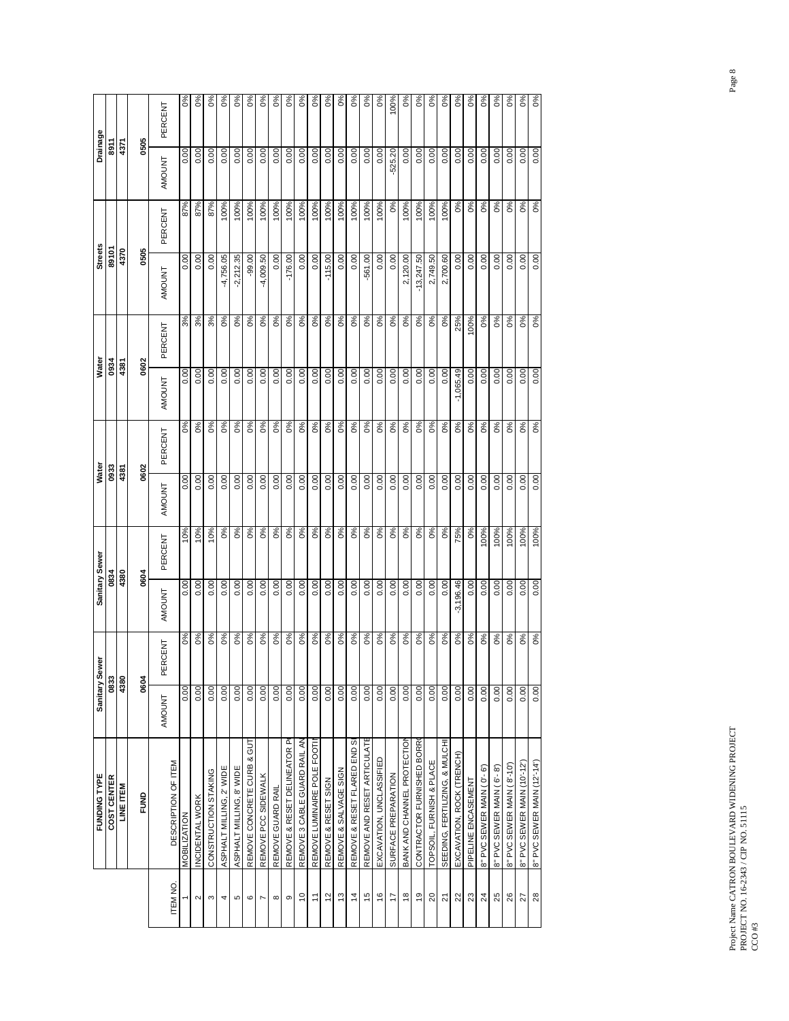|                      | FUNDING TYPE                   |               | Sanitary Sewer | Sanitary Sewer |         | Water         |         | Water         |         | <b>Streets</b> |         | <b>Drainage</b> |                  |
|----------------------|--------------------------------|---------------|----------------|----------------|---------|---------------|---------|---------------|---------|----------------|---------|-----------------|------------------|
|                      | COST CENTER                    |               | 0833           |                | 0834    | 0933          |         | 0934          |         | 89101          |         | 동<br>8911       |                  |
|                      | LINE ITEM                      |               | 4380           |                | 4380    | 4381          |         | 4381          |         | 4370           |         | 4371            |                  |
|                      | FUND                           |               | 0604           |                | 0604    | 0602          |         |               | 0602    | 0505           |         | 0505            |                  |
| ITEM <sub>NO</sub>   | DESCRIPTION OF ITEM            | <b>AMOUNT</b> | PERCENT        | <b>AMOUNT</b>  | PERCENT | <b>AMOUNT</b> | PERCENT | <b>AMOUNT</b> | PERCENT | AMOUNT         | PERCENT | <b>AMOUNT</b>   | PERCENT          |
|                      | <b>MOBILIZATION</b>            | 0.00          | 0%             | 0.00           | 10%     | 0.00          | 0%      | 0.00          | 3%      | 0.00           | 87%     | 0.00            | $\delta$         |
| $\sim$               | INCIDENTAL WORK                | 0.00          | 0%             | 0.00           | 10%     | 0.00          | 0%      | 0.00          | 3%      | 0.00           | 87%     | 0.00            | $\delta$         |
| ω                    | CONSTRUCTION STAKING           | 0.00          | 0%             | 0.00           | 10%     | 0.00          | 0%      | 0.00          | 3%      | 0.00           | 87%     | 0.00            | °%               |
| 4                    | ASPHALT MILLING, 2' WIDE       | 0.00          | 0%             | 0.00           | 0%      | 0.00          | 0%      | 0.00          | 0%      | $-4,756.05$    | 100%    | 0.00            | $\delta$         |
| Ю                    | ASPHALT MILLING, 8' WIDE       | 0.00          | 0%             | 0.00           | 0%      | 0.00          | 0%      | 0.00          | 0%      | $-2,212.35$    | 100%    | 0.00            | $\delta$         |
| $\circ$              | REMOVE CONCRETE CURB & GUT     | 0.00          | 0%             | 0.00           | 0%      | 0.00          | 0%      | 0.00          | 0%      | $-99.00$       | 100%    | 0.00            | 0%               |
| $\overline{ }$       | REMOVE PCC SIDEWALK            | 0.00          | 0%             | 0.00           | 0%      | 0.00          | 0%      | 0.00          | 0%      | $-4,009.50$    | 100%    | 0.00            | $6\%$            |
| $\infty$             | REMOVE GUARD RAIL              | 0.00          | 0%             | 0.00           | 0%      | 0.00          | $O\%$   | 0.00          | 0%      | 0.00           | 100%    | 0.00            | 0%               |
| თ                    | REMOVE & RESET DELINEATOR PO   | 0.00          | 0%             | 0.00           | 0%      | 0.00          | 0%      | 0.00          | 0%      | $-176.00$      | 100%    | 0.00            | $\delta$         |
| $\tilde{c}$          | REMOVE 3 CABLE GUARD RAIL AN   | 0.00          | 0%             | 0.00           | $0\%$   | 0.00          | 0%      | 0.00          | 0%      | 0.00           | 100%    | 0.00            | $\delta$         |
| $\tilde{t}$          | REMOVE LUMINAIRE POLE FOOT     | 0.00          | 0%             | 0.00           | 0%      | 0.00          | 0%      | 0.00          | 0%      | 0.00           | 100%    | 0.00            | $\delta$         |
| 57                   | REMOVE & RESET SIGN            | 0.00          | 0%             | 0.00           | 0%      | 0.00          | 0%      | 0.00          | 0%      | $-115.00$      | 100%    | 0.00            | 0%               |
| $\frac{3}{2}$        | REMOVE & SALVAGE SIGN          | 0.00          | 0%             | 0.00           | 0%      | 0.00          | 0%      | 0.00          | 0%      | 0.00           | 100%    | 0.00            | $\delta$         |
| $\ddot{4}$           | REMOVE & RESET FLARED END SE   | 0.00          | 0%             | 0.00           | 0%      | 0.00          | 0%      | 0.00          | 0%      | 0.00           | 100%    | 0.00            | $6\%$            |
| 15                   | REMOVE AND RESET ARTICULATE    | 0.00          | 0%             | 0.00           | 0%      | 0.00          | 0%      | 0.00          | 0%      | $-561.00$      | 100%    | 0.00            | $\delta$         |
| $\frac{6}{2}$        | EXCAVATION, UNCLASSIFIED       | 0.00          | 0%             | 0.00           | $0\%$   | 0.00          | 0%      | 0.00          | $0\%$   | 0.00           | 100%    | 0.00            | $0\%$            |
| 17                   | SURFACE PREPARATION            | 0.00          | 0%             | 0.00           | $O\%$   | 0.00          | $O\%$   | 0.00          | 0%      | 0.00           | 0%      | $-525.20$       | 100%             |
| $\overset{\circ}{=}$ | BANK AND CHANNEL PROTECTION    | 0.00          | 0%             | 0.00           | 0%      | 0.00          | 0%      | 0.00          | 0%      | 2,120.00       | 100%    | 0.00            | 0%               |
| $\overline{9}$       | CONTRACTOR FURNISHED BORRO     | 0.00          | 0%             | 0.00           | 0%      | 0.00          | 0%      | 0.00          | 0%      | $-13,247.50$   | 100%    | 0.00            | $\delta$         |
| 20                   | TOPSOIL, FURNISH & PLACE       | 0.00          | 0%             | 0.00           | 0%      | 0.00          | 0%      | 0.00          | 0%      | 2,749.50       | 100%    | 0.00            | $\delta^{\circ}$ |
| $\overline{z}$       | SEEDING, FERTILIZING, & MULCHI | 0.00          | 0%             | 0.00           | 0%      | 0.00          | 0%      | 0.00          | 0%      | 2,700.60       | 100%    | 0.00            | 0%               |
| $\overline{2}$       | EXCAVATION, ROCK (TRENCH)      | 0.00          | 0%             | $-3,196.46$    | 75%     | 0.00          | 0%      | $-1,065.49$   | 25%     | 0.00           | 0%      | 0.00            | $\delta$         |
| 23                   | PIPELINE ENCASEMENT            | 0.00          | 0%             | 0.00           | 0%      | 0.00          | 0%      | 0.00          | 100%    | 0.00           | 0%      | 0.00            | $\delta$         |
| $^{24}$              | 8" PVC SEWER MAIN (0'-6')      | 0.00          | 0%             | 0.00           | 100%    | 0.00          | 0%      | 0.00          | 0%      | 0.00           | 0%      | 0.00            | $\delta$         |
| 25                   | 8" PVC SEWER MAIN (6'-8')      | 0.00          | 0%             | 0.00           | 100%    | 0.00          | 0%      | 0.00          | 0%      | 0.00           | 0%      | 0.00            | $\delta$         |
| 26                   | 8" PVC SEWER MAIN (8'-10')     | 0.00          | 0%             | 0.00           | 100%    | 0.00          | 0%      | 0.00          | 0%      | 0.00           | 0%      | 0.00            | 0%               |
| $\overline{z}$       | 8" PVC SEWER MAIN (10'-12')    | 0.00          | 0%             | 0.00           | 100%    | 0.00          | 0%      | 0.00          | 0%      | 0.00           | 0%      | 0.00            | 0%               |
| 28                   | 8" PVC SEWER MAIN (12-14)      | 0.00          | 0%             | 0.00           | 100%    | 0.00          | 0%      | 0.00          | 0%      | 0.00           | 0%      | 0.00            | 0%               |

Project Name CATRON BOULEVARD WIDENING PROJECT PROJECT NO. 16-2343 / CIP NO. 51115 Project Name CATRON BOULEVARD WIDENING PROJECT<br>PROJECT NO. 16-2343 / CIP NO. 51115<br>CCO #3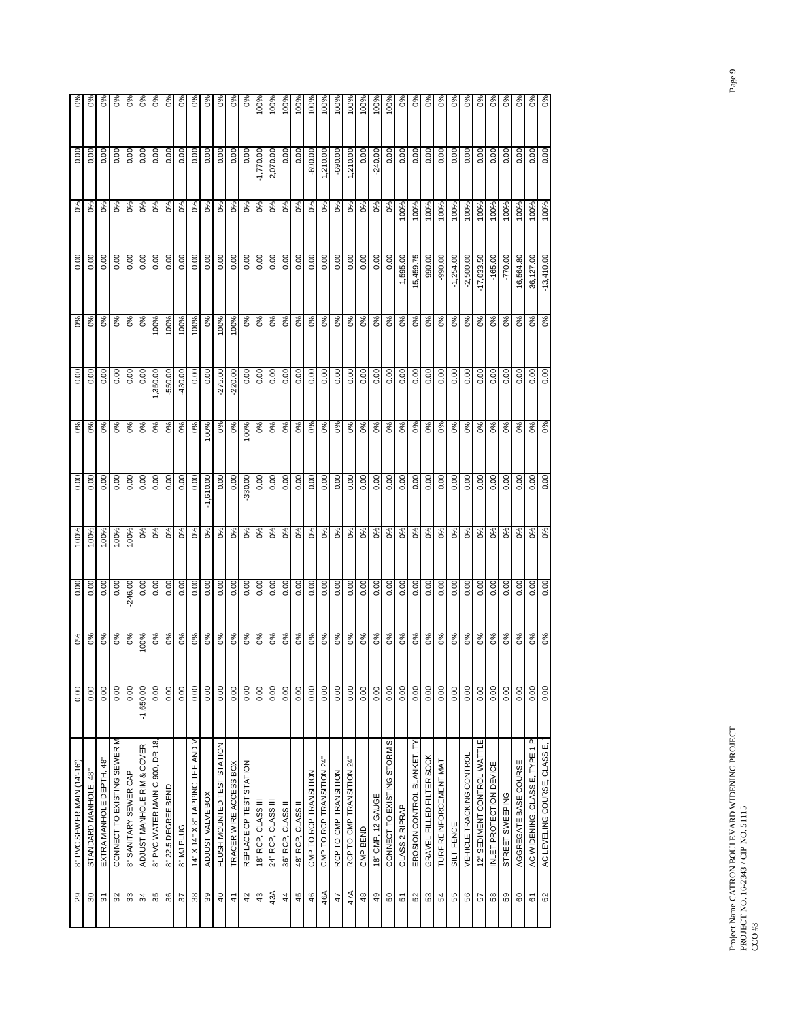| 29                       | 8" PVC SEWER MAIN (14'-16')        | 0.00        | $\delta$ | 0.00      | 100%     | 0.00         | $\delta^{\circ}$ | 0.00         | 0%       | 0.00         | $\delta^{\circ}$ | 0.00        | $0\%$         |
|--------------------------|------------------------------------|-------------|----------|-----------|----------|--------------|------------------|--------------|----------|--------------|------------------|-------------|---------------|
| $\rm ^{50}$              | STANDARD MANHOLE, 48"              | 0.00        | $0\%$    | 0.00      | 100%     | 0.00         | $\delta$         | 0.00         | 0%       | 0.00         | 0%               | 0.00        | 0%            |
| $\overline{\mathcal{E}}$ | EXTRA MANHOLE DEPTH, 48"           | 0.00        | 0%       | 0.00      | 100%     | 0.00         | 0%               | 0.00         | 0%       | 0.00         | 0%               | 0.00        | $\delta$      |
| 32                       | CONNECT TO EXISTING SEWER M        | 0.00        | $0\%$    | 0.00      | 100%     | 0.00         | 0%               | 0.00         | 0%       | 0.00         | 0%               | 0.00        | $\frac{6}{3}$ |
| $33\,$                   | 8" SANITARY SEWER CAP              | 0.00        | $\delta$ | $-246.00$ | 00%      | 0.00         | $0\%$            | 0.00         | 0%       | 0.00         | 0%               | 0.00        | 0%            |
| 34                       | ADJUST MANHOLE RIM & COVER         | $-1,650.00$ | 00%      | 0.00      | $\delta$ | 0.00         | 0%               | 0.00         | 0%       | 0.00         | 0%               | 0.00        | 0%            |
| 35                       | 8" PVC WATER MAIN C-900, DR 18,    | 0.00        | $\delta$ | 0.00      | $\delta$ | 0.00         | 0%               | ,350.00<br>7 | 00%      | S.           | 0%               | 0.00        | 0%            |
| 36                       | 8" 22.5 DEGREE BEND                | 0.00        | 0%       | 0.00      | 0%       | 0.00         | 0%               | $-550.00$    | 100%     | 0.00         | 0%               | 0.00        | $\delta$      |
| 57                       | 8" MJ PLUG                         | 0.00        | 0%       | 0.00      | $\delta$ | 0.00         | $0\%$            | $-430.00$    | 100%     | 0.00         | 0%               | 0.00        | $\delta$      |
| $38\,$                   | 14" X 14" X 8" TAPPING TEE AND V   | 0.00        | 0%       | 0.00      | 0%       | 0.00         | $0\%$            | 0.00         | 100%     | 0.00         | 0%               | 0.00        | $0\%$         |
| 39                       | ADJUST VALVE BOX                   | 0.00        | 0%       | 0.00      | 0%       | ,610.00<br>7 | 00%              | 0.00         | $\delta$ | 0.00         | 0%               | 0.00        | $0\%$         |
| $\overline{4}$           | FLUSH MOUNTED TEST STATION         | 0.00        | 0%       | S         | 0%       | 0.00         | $0\%$            | $-275.00$    | 00%      | 8            | 0%               | 0.00        | $0\%$         |
| $\ddot{+}$               | TRACER WIRE ACCESS BOX             | 0.00        | $0\%$    | 0.00      | 0%       | 0.00         | 0%               | $-220.00$    | 00%      | 0.00         | $0\%$            | 0.00        | $\delta$      |
| $\overline{4}$           | REPLACE CP TEST STATION            | 0.00        | 0%       | 0.00      | 0%       | $-330.00$    | 00%              | 0.00         | 0%       | 0.00         | 0%               | 0.00        | 0%            |
| $43\,$                   | 18" RCP, CLASS III                 | 0.00        | 0%       | 0.00      | 0%       | 0.00         | 0%               | 0.00         | 0%       | 0.00         | 0%               | $-1,770.00$ | 100%          |
| 43A                      | 24" RCP, CLASS III                 | 0.00        | 0%       | 0.00      | 0%       | 0.00         | 0%               | 0.00         | 0%       | S.           | $0\%$            | 2,070.00    | 100%          |
| $\frac{4}{4}$            | 36" RCP, CLASS II                  | 0.00        | 0%       | 0.00      | 0%       | 0.00         | 0%               | 0.00         | 0%       | S.<br>ö      | 0%               | 0.00        | 100%          |
| 45                       | 48" RCP, CLASS II                  | 0.00        | 0%       | 0.00      | 0%       | 0.00         | 0%               | 0.00         | 0%       | 0.00         | 0%               | 0.00        | 100%          |
| $46$                     | CMP TO RCP TRANSITION              | 0.00        | 0%       | 0.00      | 0%       | 0.00         | 0%               | 0.00         | 0%       | 0.00         | $0\%$            | $-690.00$   | 100%          |
| 46A                      | CMP TO RCP TRANSITION 24"          | 0.00        | 0%       | 0.00      | $0\%$    | 0.00         | 0%               | 0.00         | 0%       | 0.00         | $0\%$            | 210.00      | 100%          |
| 47                       | RCP TO CMP TRANSITION              | 0.00        | 0%       | 0.00      | 0%       | 0.00         | 0%               | 0.00         | 0%       | 0.00         | 0%               | $-690.00$   | 100%          |
| 47A                      | RCP TO CMP TRANSITION 24           | 0.00        | 0%       | 0.00      | 0%       | 0.00         | 0%               | 0.00         | 0%       | 0.00         | 0%               | 210.00      | 100%          |
| $48$                     | CMP BEND                           | 0.00        | 0%       | 0.00      | $0\%$    | 0.00         | 0%               | 0.00         | 0%       | 0.00         | 0%               | 0.00        | 100%          |
| $\overline{49}$          | 18" CMP, 12 GAUGE                  | 0.00        | 0%       | 0.00      | $0\%$    | 0.00         | $0\%$            | 0.00         | 0%       | 0.00         | 0%               | $-240.00$   | 100%          |
| $50^{\circ}$             | CONNECT TO EXISTING STORM SE       | 0.00        | 0%       | 0.00      | 0%       | 0.00         | 0%               | 0.00         | 0%       | 0.00         | 0%               | 0.00        | 100%          |
| 5                        | CLASS 2 RIPRAP                     | 0.00        | $0\%$    | 0.00      | 0%       | 0.00         | 0%               | 0.00         | 0%       | 595.00       | 00%              | 8<br>ö      | $\delta$      |
| 52                       | EROSION CONTROL BLANKET, TYI       | 0.00        | 0%       | 0.00      | 0%       | 0.00         | 0%               | 0.00         | 0%       | $-15,459.75$ | 100%             | 8<br>ö      | 0%            |
| 53                       | GRAVEL FILLED FILTER SOCK          | 0.00        | $\delta$ | 0.00      | 0%       | 0.00         | $0\%$            | 0.00         | $\delta$ | $-990.00$    | 100%             | 0.00        | 0%            |
| 54                       | TURF REINFORCEMENT MAT             | 0.00        | 0%       | 0.00      | 0%       | 0.00         | 0%               | 0.00         | 0%       | $-990.00$    | 100%             | 0.00        | 0%            |
| 55                       | SILT FENCE                         | 0.00        | 0%       | 0.00      | 0%       | 0.00         | 0%               | 0.00         | 0%       | ,254.00      | 100%             | 0.00        | $0\%$         |
| 56                       | VEHICLE TRACKING CONTROL           | 0.00        | 0%       | 0.00      | 0%       | 0.00         | 0%               | 0.00         | 0%       | $-2,500.00$  | 100%             | 0.00        | 0%            |
| 57                       | 12" SEDIMENT CONTROL WATTLE        | 0.00        | 0%       | 0.00      | $0\%$    | 0.00         | 0%               | 0.00         | $0\%$    | $-17,033.50$ | 100%             | 0.00        | 0%            |
| ${\tt s}$                | INLET PROTECTION DEVICE            | 0.00        | $0\%$    | 0.00      | $0\%$    | 0.00         | 0%               | 0.00         | $0\%$    | $-165.00$    | 100%             | 0.00        | 0%            |
| ${\tt S}3$               | STREET SWEEPING                    | 0.00        | $0\%$    | 0.00      | $0\%$    | 0.00         | 0%               | 0.00         | $0\%$    | $-770.00$    | 100%             | 0.00        | 0%            |
| $\mbox{6}$               | AGGREGATE BASE COURSE              | 0.00        | $\delta$ | 0.00      | $\delta$ | 0.00         | $0\%$            | 0.00         | $\delta$ | 16,564.80    | 100%             | 0.00        | $0\%$         |
| $\overline{6}$           | Ă.<br>AC WIDENING, CLASS E, TYPE 1 | 0.00        | 0%       | 0.00      | 0%       | 0.00         | 0%               | 0.00         | 0%       | 36,127.00    | 100%             | 0.00        | $\frac{8}{6}$ |
| 62                       | AC LEVELING COURSE, CLASS E,       | 0.00        | 0%       | 0.00      | 0%       | 0.00         | 0%               | 0.00         | 0%       | $-13,410.00$ | 100%             | 0.00        | $0\%$         |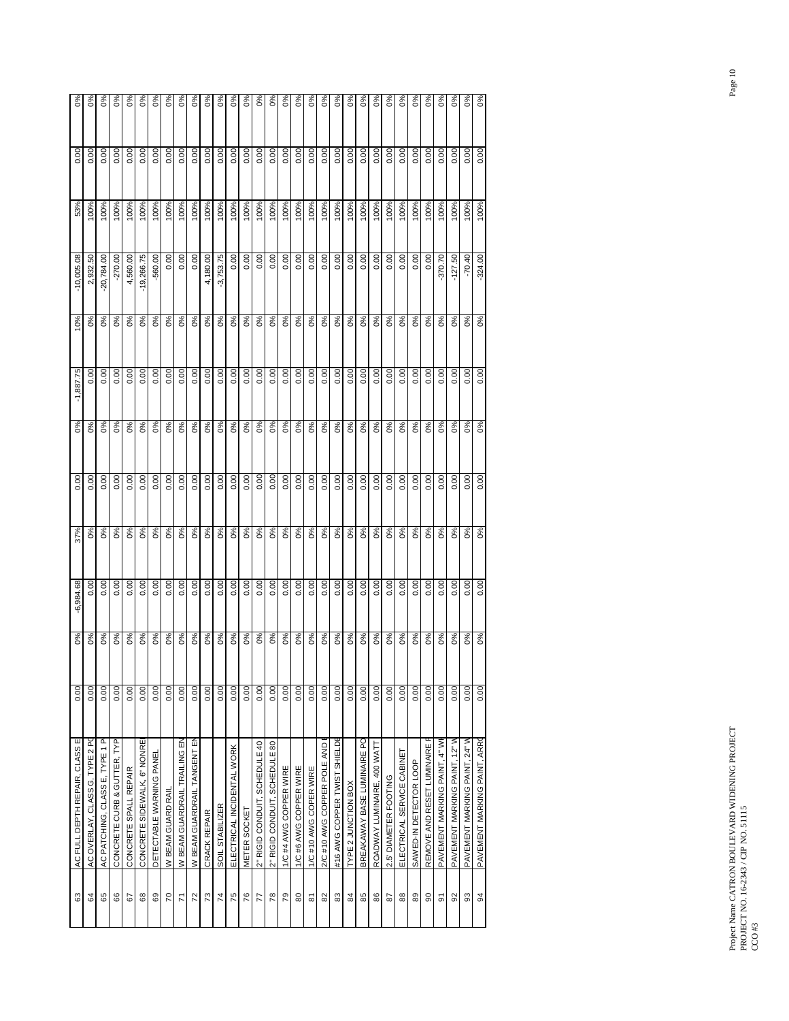| $\delta^{\circ}$                 | $\delta$                       | 0%                             | 0%                          | 0%                    | 0%                           | $\delta^{\circ}$         | $0\%$             | $0\%$                        | $0\%$                       | 0%           | $\delta$        | $\delta^{\circ}$           | 0%           | 0%                            | 0%                            | $\delta$               | 0%                    | 0%                     | $\delta$                    | 0%                           | 0%                  | $\delta^{\circ}$            | 0%                          | $0\%$                 | 0%                         | $\delta$               | $0\%$                      | 0%                            | 0%                            | $\delta^{\circ}$              | $\delta$                     |
|----------------------------------|--------------------------------|--------------------------------|-----------------------------|-----------------------|------------------------------|--------------------------|-------------------|------------------------------|-----------------------------|--------------|-----------------|----------------------------|--------------|-------------------------------|-------------------------------|------------------------|-----------------------|------------------------|-----------------------------|------------------------------|---------------------|-----------------------------|-----------------------------|-----------------------|----------------------------|------------------------|----------------------------|-------------------------------|-------------------------------|-------------------------------|------------------------------|
| 0.00                             | 0.00                           | 0.00                           | 0.00                        | 0.00                  | 0.00                         | 0.00                     | 0.00              | 0.00                         | 0.00                        | 0.00         | 0.00            | 0.00                       | 0.00         | 0.00                          | 0.00                          | 0.00                   | 0.00                  | 0.00                   | 0.00                        | 0.00                         | 0.00                | 0.00                        | 0.00                        | 0.00                  | 0.00                       | 0.00                   | 0.00                       | 0.00                          | 0.00                          | 0.00                          | 0.00                         |
| 53%                              | 100%                           | 100%                           | 100%                        | 100%                  | 100%                         | 100%                     | 100%              | 100%                         | 100%                        | 100%         | 100%            | 100%                       | 100%         | 100%                          | 100%                          | 100%                   | 100%                  | 100%                   | 100%                        | 100%                         | 100%                | 100%                        | 100%                        | 100%                  | 100%                       | 100%                   | 100%                       | 100%                          | 100%                          | 100%                          | 100%                         |
| $-10,005.08$                     | 2,932.50                       | 20,784.00                      | $-270.00$                   | 4,560.00              | $-19,266.75$                 | $-560.00$                | 0.00              | 0.00                         | 0.00                        | 4,180.00     | $-3,753.75$     | 0.00                       | 0.00         | 0.00                          | 0.00                          | 0.00                   | 0.00                  | 0.00                   | 0.00                        | 0.00                         | 0.00                | 0.00                        | 0.00                        | 0.00                  | 0.00                       | 0.00                   | 0.00                       | -370.70                       | SO.<br>$-127$ .               | $-70.40$                      | $-324.00$                    |
| 10%                              | $\delta$                       | 0%                             | $0\%$                       | $\delta$              | 0%                           | 0%                       | $\delta$          | 0%                           | 0%                          | 0%           | $0\%$           | 0%                         | 0%           | $0\%$                         | $0\%$                         | 0%                     | $\delta$              | 0%                     | 0%                          | 0%                           | $O\%$               | 0%                          | 0%                          | 0%                    | 0%                         | 0%                     | 0%                         | 0%                            | $0\%$                         | $\delta$                      | 0%                           |
| $-1,887.75$                      | 0.00                           | 0.00                           | 0.00                        | 0.00                  | 0.00                         | 0.00                     | 0.00              | 0.00                         | 0.00                        | 0.00         | 0.00            | 0.00                       | 0.00         | 0.00                          | 0.00                          | 0.00                   | 0.00                  | 0.00                   | 0.00                        | 0.00                         | 0.00                | 0.00                        | 0.00                        | 0.00                  | 0.00                       | 0.00                   | 0.00                       | 0.00                          | 0.00                          | 0.00                          | 0.00                         |
| 0%                               | 0%                             | 0%                             | 0%                          | $0\%$                 | $O\%$                        | 0%                       | 0%                | 0%                           | 0%                          | 0%           | 0%              | $O\%$                      | 0%           | 0%                            | 0%                            | 0%                     | 0%                    | 0%                     | 0%                          | 0%                           | $O\%$               | 0%                          | 0%                          | 0%                    | 0%                         | 0%                     | 0%                         | 0%                            | 0%                            | $0\%$                         | 0%                           |
| 0.00                             | 0.00                           | 0.00                           | 0.00                        | 0.00                  | 0.00                         | 0.00                     | 0.00              | 0.00                         | 0.00                        | 0.00         | 0.00            | 0.00                       | 0.00         | 0.00                          | 0.00                          | 0.00                   | 0.00                  | 0.00                   | 0.00                        | 0.00                         | 0.00                | 0.00                        | 0.00                        | 0.00                  | 0.00                       | 0.00                   | 0.00                       | 0.00                          | 0.00                          | 0.00                          | 0.00                         |
| 37%                              | 0%                             | 0%                             | 0%                          | 0%                    | 0%                           | 0%                       | 0%                | 0%                           | 0%                          | 0%           | 0%              | 0%                         | 0%           | 0%                            | 0%                            | 0%                     | 0%                    | 0%                     | 0%                          | 0%                           | 0%                  | 0%                          | 0%                          | 0%                    | 0%                         | 0%                     | 0%                         | 0%                            | 0%                            | $\delta_{0}$                  | 0%                           |
| $-6,984.68$                      | 0.00                           | 0.00                           | 0.00                        | 0.00                  | 0.00                         | 0.00                     | 0.00              | 0.00                         | 0.00                        | 0.00         | 0.00            | 0.00                       | 0.00         | 0.00                          | 0.00                          | 0.00                   | 0.00                  | 0.00                   | 0.00                        | 0.00                         | 0.00                | 0.00                        | 0.00                        | 0.00                  | 0.00                       | 0.00                   | 0.00                       | 0.00                          | 0.00                          | 0.00                          | 0.00                         |
| $0\%$                            | 0%                             | 0%                             | 0%                          | 0%                    | 0%                           | 0%                       | 0%                | 0%                           | 0%                          | 0%           | 0%              | 0%                         | 0%           | 0%                            | 0%                            | 0%                     | 0%                    | 0%                     | 0%                          | 0%                           | 0%                  | 0%                          | 0%                          | 0%                    | 0%                         | 0%                     | 0%                         | 0%                            | 0%                            | $0\%$                         | 0%                           |
| 0.00                             | 0.00                           | 0.00                           | 0.00                        | 0.00                  | 0.00                         | 0.00                     | 0.00              | 0.00                         | 0.00                        | 0.00         | 0.00            | 0.00                       | 0.00         | 0.00                          | 0.00                          | 0.00                   | 0.00                  | 0.00                   | 0.00                        | 0.00                         | 0.00                | 0.00                        | 0.00                        | 0.00                  | 0.00                       | 0.00                   | 0.00                       | 0.00                          | 0.00                          | 0.00                          | 0.00                         |
| щ<br>AC FULL DEPTH REPAIR, CLASS | AC OVERLAY, CLASS G, TYPE 2 PC | AC PATCHING, CLASS E, TYPE 1 P | CONCRETE CURB & GUTTER, TYP | CONCRETE SPALL REPAIR | CONCRETE SIDEWALK, 6" NONREI | DETECTABLE WARNING PANEI | W BEAM GUARD RAIL | W BEAM GUARDRAIL TRAILING EN | W BEAM GUARDRAIL TANGENT EN | CRACK REPAIR | SOIL STABILIZER | ELECTRICAL INCIDENTAL WORK | METER SOCKET | 2" RIGID CONDUIT, SCHEDULE 40 | 2" RIGID CONDUIT, SCHEDULE 80 | 1/C #4 AWG COPPER WIRE | 1/C#6 AWG COPPER WIRE | 1/C #10 AWG COPER WIRE | 2/C #10 AWG COPPER POLE AND | #16 AWG COPPER TWIST SHIELDE | TYPE 2 JUNCTION BOX | BREAKAWAY BASE LUMINAIRE PO | ROADWAY LUMINAIRE, 400 WATT | 2.5' DIAMETER FOOTING | ELECTRICAL SERVICE CABINET | SAWED-IN DETECTOR LOOP | REMOVE AND RESET LUMINAIRE | PAVEMENT MARKING PAINT, 4" WI | PAVEMENT MARKING PAINT, 12" W | PAVEMENT MARKING PAINT, 24" W | PAVEMENT MARKING PAINT, ARRO |
| යි                               | 84                             | 65                             | 88                          | 57                    | 88                           | 69                       | 20                | 71                           | 72                          | 73           | $\overline{7}$  | 75                         | 76           | 77                            | $\frac{8}{2}$                 | $\overline{79}$        | 80                    | 5                      | 82                          | 83                           | 84                  | 85                          | 86                          | 28                    | 88                         | 89                     | 8                          | 5                             | 92                            | 33                            | $\overline{a}$               |